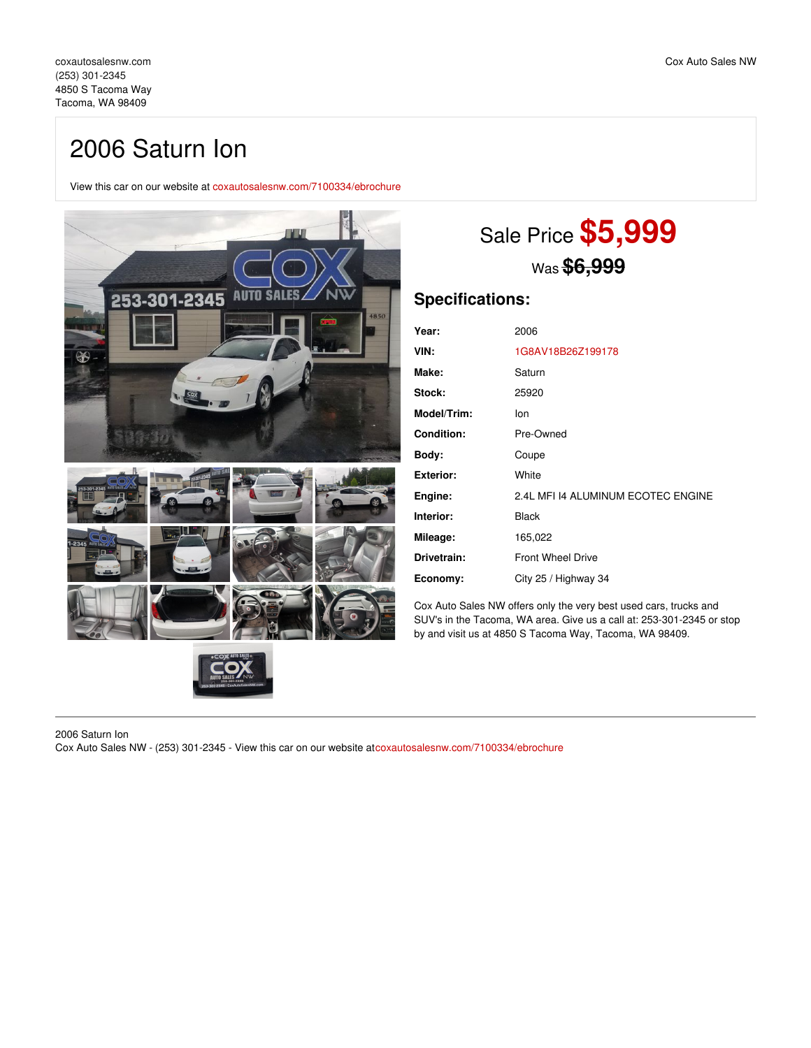# 2006 Saturn Ion

View this car on our website at [coxautosalesnw.com/7100334/ebrochure](https://coxautosalesnw.com/vehicle/7100334/2006-saturn-ion-tacoma-wa-98409/7100334/ebrochure)



# Sale Price **\$5,999** Was **\$6,999**

### **Specifications:**

| Year:              | 2006                               |
|--------------------|------------------------------------|
| VIN:               | 1G8AV18B26Z199178                  |
| Make:              | Saturn                             |
| <b>Stock:</b>      | 25920                              |
| <b>Model/Trim:</b> | lon                                |
| <b>Condition:</b>  | Pre-Owned                          |
| Body:              | Coupe                              |
| Exterior:          | White                              |
| Engine:            | 2.4L MFI 14 ALUMINUM ECOTEC ENGINE |
| Interior:          | <b>Black</b>                       |
| Mileage:           | 165,022                            |
| Drivetrain:        | <b>Front Wheel Drive</b>           |
| Economy:           | City 25 / Highway 34               |

Cox Auto Sales NW offers only the very best used cars, trucks and SUV's in the Tacoma, WA area. Give us a call at: 253-301-2345 or stop by and visit us at 4850 S Tacoma Way, Tacoma, WA 98409.

2006 Saturn Ion Cox Auto Sales NW - (253) 301-2345 - View this car on our website at[coxautosalesnw.com/7100334/ebrochure](https://coxautosalesnw.com/vehicle/7100334/2006-saturn-ion-tacoma-wa-98409/7100334/ebrochure)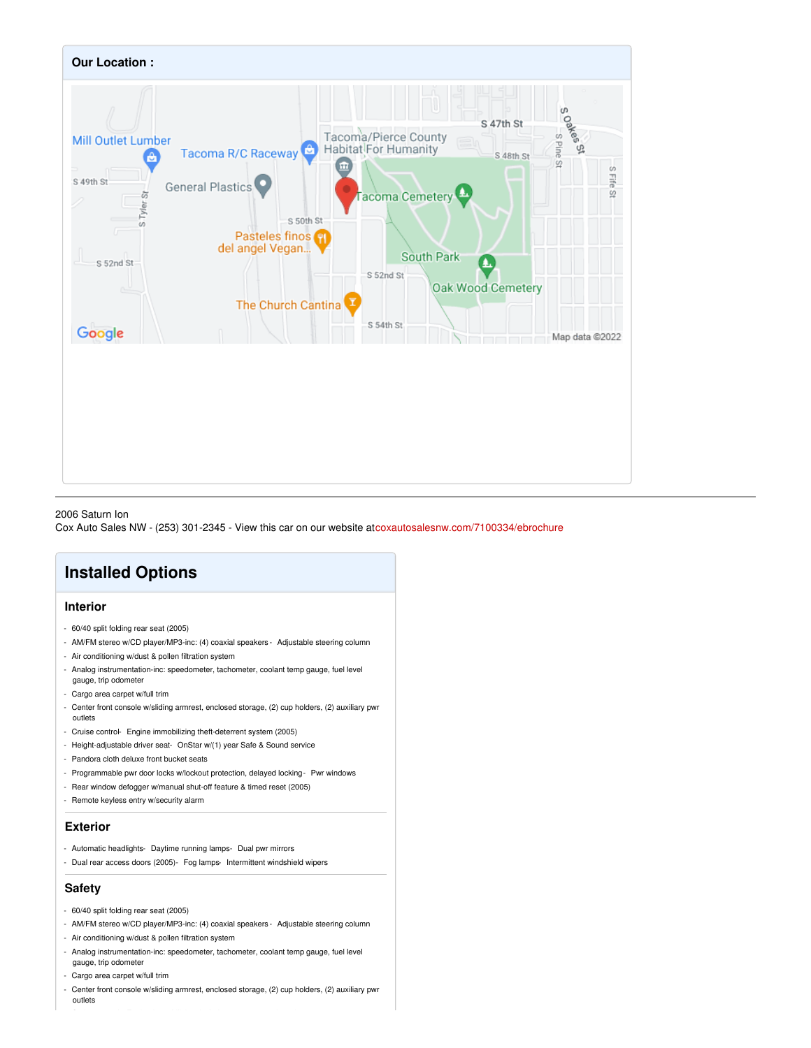

#### 2006 Saturn Ion

Cox Auto Sales NW - (253) 301-2345 - View this car on our website at[coxautosalesnw.com/7100334/ebrochure](https://coxautosalesnw.com/vehicle/7100334/2006-saturn-ion-tacoma-wa-98409/7100334/ebrochure)

## **Installed Options**

#### **Interior**

- 60/40 split folding rear seat (2005)
- AM/FM stereo w/CD player/MP3-inc: (4) coaxial speakers Adjustable steering column
- Air conditioning w/dust & pollen filtration system
- Analog instrumentation-inc: speedometer, tachometer, coolant temp gauge, fuel level
- gauge, trip odometer
- Cargo area carpet w/full trim
- Center front console w/sliding armrest, enclosed storage, (2) cup holders, (2) auxiliary pwr outlets
- Cruise control- Engine immobilizing theft-deterrent system (2005)
- Height-adjustable driver seat- OnStar w/(1) year Safe & Sound service
- Pandora cloth deluxe front bucket seats
- Programmable pwr door locks w/lockout protection, delayed locking- Pwr windows
- Rear window defogger w/manual shut-off feature & timed reset (2005)
- Remote keyless entry w/security alarm

#### **Exterior**

- Automatic headlights- Daytime running lamps- Dual pwr mirrors
- Dual rear access doors (2005)- Fog lamps- Intermittent windshield wipers

#### **Safety**

- 60/40 split folding rear seat (2005)
- AM/FM stereo w/CD player/MP3-inc: (4) coaxial speakers Adjustable steering column
- Air conditioning w/dust & pollen filtration system
- Analog instrumentation-inc: speedometer, tachometer, coolant temp gauge, fuel level
- gauge, trip odometer
- Cargo area carpet w/full trim
- Center front console w/sliding armrest, enclosed storage, (2) cup holders, (2) auxiliary pwr outlets